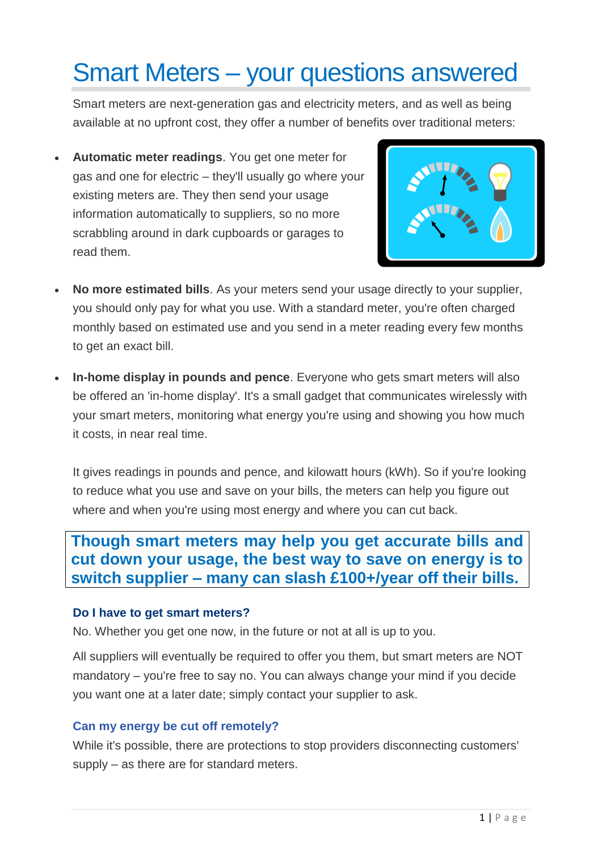# Smart Meters – your questions answered

Smart meters are next-generation gas and electricity meters, and as well as being available at no upfront cost, they offer a number of benefits over traditional meters:

• **Automatic meter readings**. You get one meter for gas and one for electric – they'll usually go where your existing meters are. They then send your usage information automatically to suppliers, so no more scrabbling around in dark cupboards or garages to read them.



- **No more estimated bills**. As your meters send your usage directly to your supplier, you should only pay for what you use. With a standard meter, you're often charged monthly based on estimated use and you send in a meter reading every few months to get an exact bill.
- **In-home display in pounds and pence**. Everyone who gets smart meters will also be offered an 'in-home display'. It's a small gadget that communicates wirelessly with your smart meters, monitoring what energy you're using and showing you how much it costs, in near real time.

It gives readings in pounds and pence, and kilowatt hours (kWh). So if you're looking to reduce what you use and save on your bills, the meters can help you figure out where and when you're using most energy and where you can cut back.

**Though smart meters may help you get accurate bills and cut down your usage, the best way to save on energy is to switch supplier – many can slash £100+/year off their bills.**

#### **[Do I have to get smart meters?](https://www.moneysavingexpert.com/utilities/smart-meters/#accordion-content-01112959479-2)**

No. Whether you get one now, in the future or not at all is up to you.

All suppliers will eventually be required to offer you them, but smart meters are NOT mandatory – you're free to say no. You can always change your mind if you decide you want one at a later date; simply contact your supplier to ask.

#### **[Can my energy be cut off remotely?](https://www.moneysavingexpert.com/utilities/smart-meters/#accordion-content-01112959479-3)**

While it's possible, there are protections to stop providers disconnecting customers' supply – as there are for standard meters.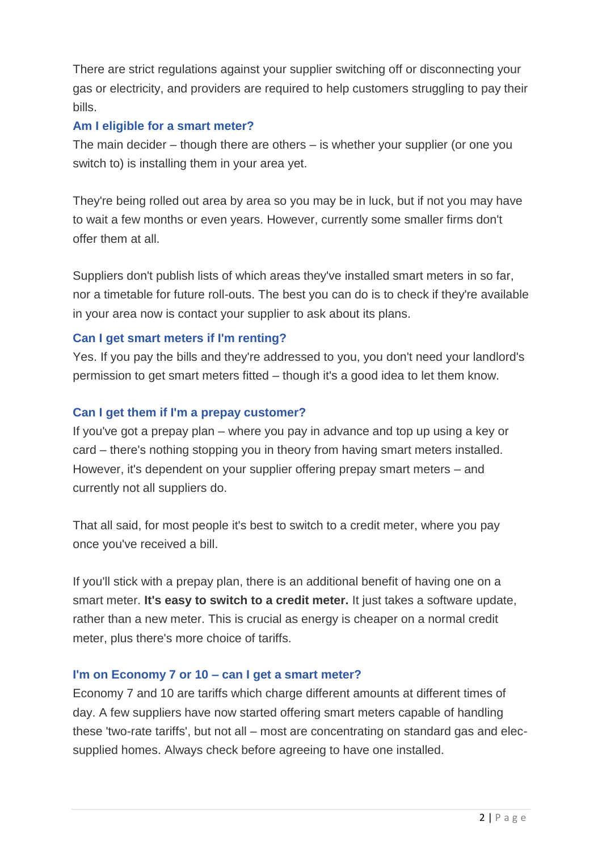There are strict regulations against your supplier switching off or disconnecting your gas or electricity, and providers are required to help customers struggling to pay their bills.

### **Am I eligible for a smart meter?**

The main decider – though there are others – is whether your supplier (or one you switch to) is installing them in your area yet.

They're being rolled out area by area so you may be in luck, but if not you may have to wait a few months or even years. However, currently some smaller firms don't offer them at all.

Suppliers don't publish lists of which areas they've installed smart meters in so far, nor a timetable for future roll-outs. The best you can do is to check if they're available in your area now is contact your supplier to ask about its plans.

## **[Can I get smart meters if I'm renting?](https://www.moneysavingexpert.com/utilities/smart-meters/#accordion-content-0652512775-0)**

Yes. If you pay the bills and they're addressed to you, you don't need your landlord's permission to get smart meters fitted – though it's a good idea to let them know.

## **[Can I get them if I'm a prepay customer?](https://www.moneysavingexpert.com/utilities/smart-meters/#accordion-content-0652512775-1)**

If you've got a prepay plan – where you pay in advance and top up using a key or card – there's nothing stopping you in theory from having smart meters installed. However, it's dependent on your supplier offering prepay smart meters – and currently not all suppliers do.

That all said, for most people it's best to switch to a credit meter, where you pay once you've received a bill.

If you'll stick with a prepay plan, there is an additional benefit of having one on a smart meter. **It's easy to switch to a credit meter.** It just takes a software update, rather than a new meter. This is crucial as energy is cheaper on a normal credit meter, plus there's more choice of tariffs.

#### **[I'm on Economy 7 or 10 –](https://www.moneysavingexpert.com/utilities/smart-meters/#accordion-content-0652512775-3) can I get a smart meter?**

Economy 7 and 10 are tariffs which charge different amounts at different times of day. A few suppliers have now started offering smart meters capable of handling these 'two-rate tariffs', but not all – most are concentrating on standard gas and elecsupplied homes. Always check before agreeing to have one installed.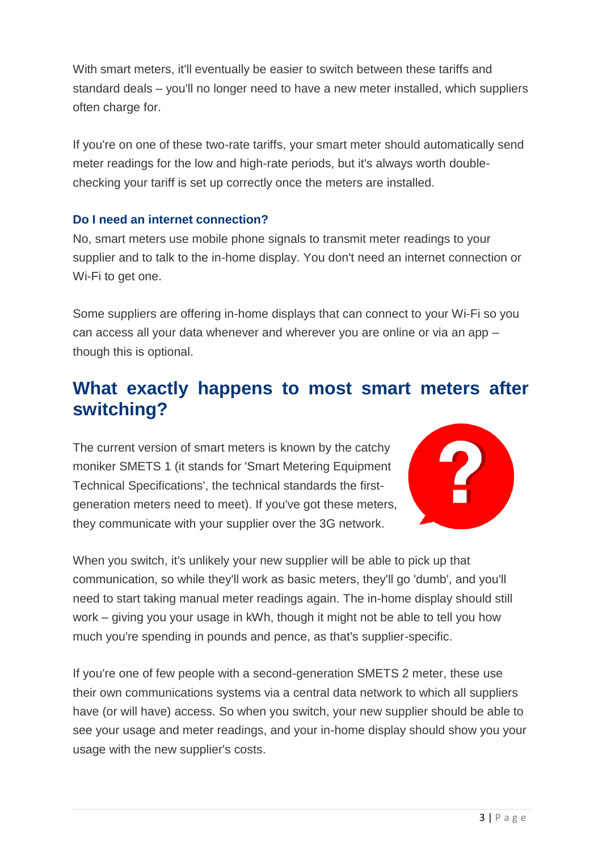With smart meters, it'll eventually be easier to switch between these tariffs and standard deals – you'll no longer need to have a new meter installed, which suppliers often charge for.

If you're on one of these two-rate tariffs, your smart meter should automatically send meter readings for the low and high-rate periods, but it's always worth doublechecking your tariff is set up correctly once the meters are installed.

#### **[Do I need an internet connection?](https://www.moneysavingexpert.com/utilities/smart-meters/#accordion-content-1572661706-6)**

No, smart meters use mobile phone signals to transmit meter readings to your supplier and to talk to the in-home display. You don't need an internet connection or Wi-Fi to get one.

Some suppliers are offering in-home displays that can connect to your Wi-Fi so you can access all your data whenever and wherever you are online or via an app – though this is optional.

# **What exactly happens to most smart meters after switching?**

The current version of smart meters is known by the catchy moniker SMETS 1 (it stands for 'Smart Metering Equipment Technical Specifications', the technical standards the firstgeneration meters need to meet). If you've got these meters, they communicate with your supplier over the 3G network.



When you switch, it's unlikely your new supplier will be able to pick up that communication, so while they'll work as basic meters, they'll go 'dumb', and you'll need to start taking manual meter readings again. The in-home display should still work – giving you your usage in kWh, though it might not be able to tell you how much you're spending in pounds and pence, as that's supplier-specific.

If you're one of few people with a second-generation SMETS 2 meter, these use their own communications systems via a central data network to which all suppliers have (or will have) access. So when you switch, your new supplier should be able to see your usage and meter readings, and your in-home display should show you your usage with the new supplier's costs.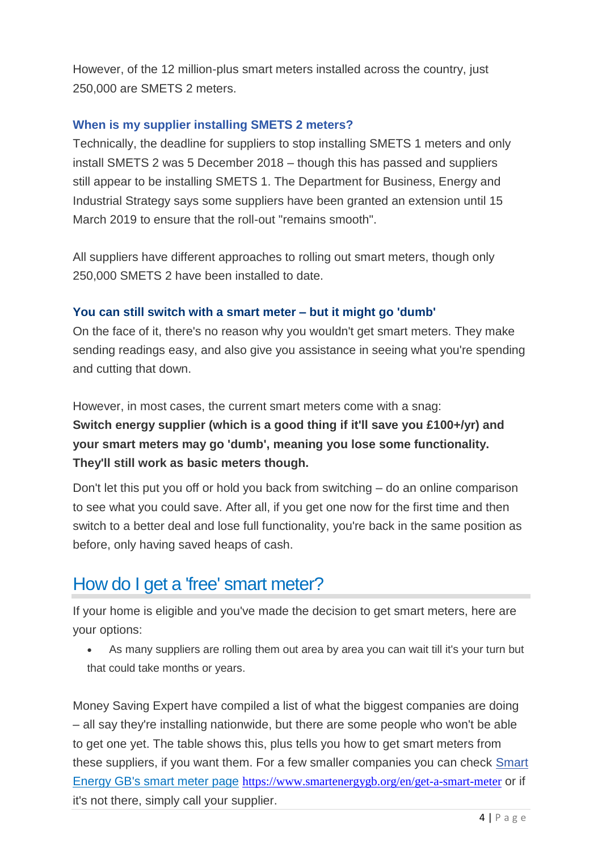However, of the 12 million-plus smart meters installed across the country, just 250,000 are SMETS 2 meters.

#### **[When is my supplier installing SMETS 2 meters?](https://www.moneysavingexpert.com/utilities/smart-meters/#accordion-content-1904211192-2)**

Technically, the deadline for suppliers to stop installing SMETS 1 meters and only install SMETS 2 was 5 December 2018 – though this has passed and suppliers still appear to be installing SMETS 1. The Department for Business, Energy and Industrial Strategy says some suppliers have been granted an extension until 15 March 2019 to ensure that the roll-out "remains smooth".

All suppliers have different approaches to rolling out smart meters, though only 250,000 SMETS 2 have been installed to date.

## **You can still switch with a smart meter – but it might go 'dumb'**

On the face of it, there's no reason why you wouldn't get smart meters. They make sending readings easy, and also give you assistance in seeing what you're spending and cutting that down.

However, in most cases, the current smart meters come with a snag: **Switch energy supplier (which is a good thing if it'll save you £100+/yr) and your smart meters may go 'dumb', meaning you lose some functionality. They'll still work as basic meters though.**

Don't let this put you off or hold you back from switching – do an online comparison to see what you could save. After all, if you get one now for the first time and then switch to a better deal and lose full functionality, you're back in the same position as before, only having saved heaps of cash.

# How do I get a 'free' smart meter?

If your home is eligible and you've made the decision to get smart meters, here are your options:

• As many suppliers are rolling them out area by area you can wait till it's your turn but that could take months or years.

Money Saving Expert have compiled a list of what the biggest companies are doing – all say they're installing nationwide, but there are some people who won't be able to get one yet. The table shows this, plus tells you how to get smart meters from these suppliers, if you want them. For a few smaller companies you can check [Smart](https://www.smartenergygb.org/en/how-to-get-a-smart-meter/energy-suppliers)  [Energy GB's smart meter page](https://www.smartenergygb.org/en/how-to-get-a-smart-meter/energy-suppliers) <https://www.smartenergygb.org/en/get-a-smart-meter> or if it's not there, simply call your supplier.